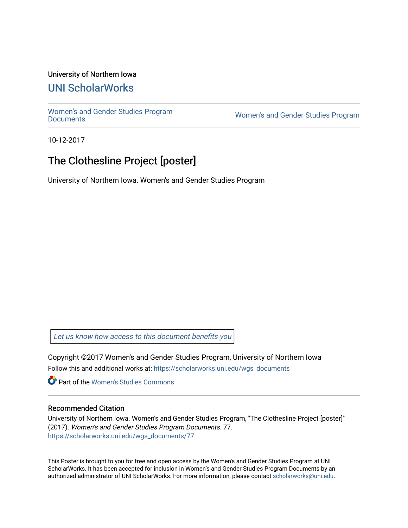### University of Northern Iowa

### [UNI ScholarWorks](https://scholarworks.uni.edu/)

[Women's and Gender Studies Program](https://scholarworks.uni.edu/wgs_documents)<br>Documents

Women's and Gender Studies Program

10-12-2017

## The Clothesline Project [poster]

University of Northern Iowa. Women's and Gender Studies Program

[Let us know how access to this document benefits you](https://scholarworks.uni.edu/feedback_form.html) 

Copyright ©2017 Women's and Gender Studies Program, University of Northern Iowa Follow this and additional works at: [https://scholarworks.uni.edu/wgs\\_documents](https://scholarworks.uni.edu/wgs_documents?utm_source=scholarworks.uni.edu%2Fwgs_documents%2F77&utm_medium=PDF&utm_campaign=PDFCoverPages)

**C** Part of the Women's Studies Commons

### Recommended Citation

University of Northern Iowa. Women's and Gender Studies Program, "The Clothesline Project [poster]" (2017). Women's and Gender Studies Program Documents. 77. [https://scholarworks.uni.edu/wgs\\_documents/77](https://scholarworks.uni.edu/wgs_documents/77?utm_source=scholarworks.uni.edu%2Fwgs_documents%2F77&utm_medium=PDF&utm_campaign=PDFCoverPages) 

This Poster is brought to you for free and open access by the Women's and Gender Studies Program at UNI ScholarWorks. It has been accepted for inclusion in Women's and Gender Studies Program Documents by an authorized administrator of UNI ScholarWorks. For more information, please contact [scholarworks@uni.edu.](mailto:scholarworks@uni.edu)